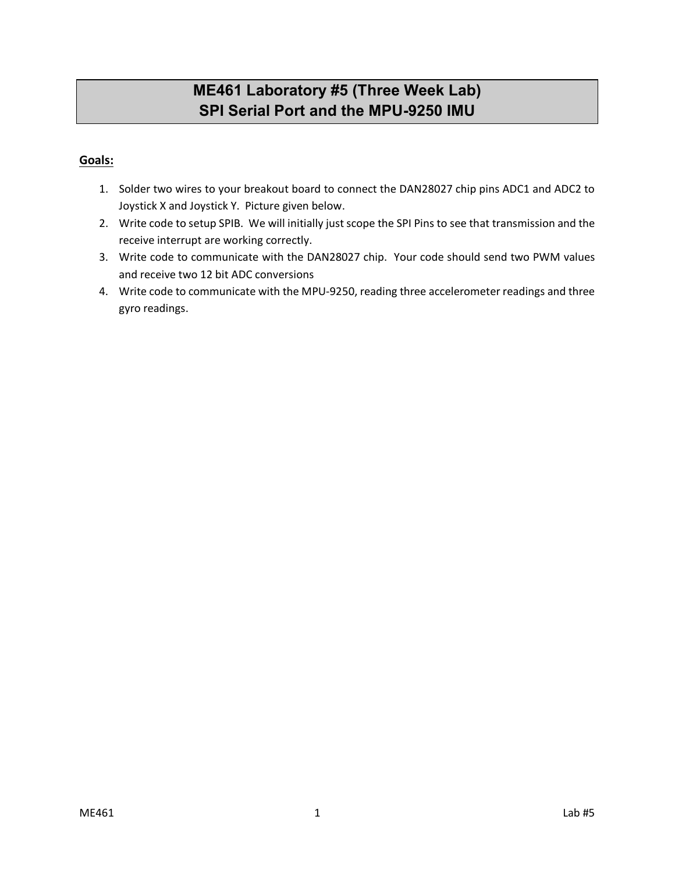# **ME461 Laboratory #5 (Three Week Lab) SPI Serial Port and the MPU-9250 IMU**

## **Goals:**

- 1. Solder two wires to your breakout board to connect the DAN28027 chip pins ADC1 and ADC2 to Joystick X and Joystick Y. Picture given below.
- 2. Write code to setup SPIB. We will initially just scope the SPI Pins to see that transmission and the receive interrupt are working correctly.
- 3. Write code to communicate with the DAN28027 chip. Your code should send two PWM values and receive two 12 bit ADC conversions
- 4. Write code to communicate with the MPU-9250, reading three accelerometer readings and three gyro readings.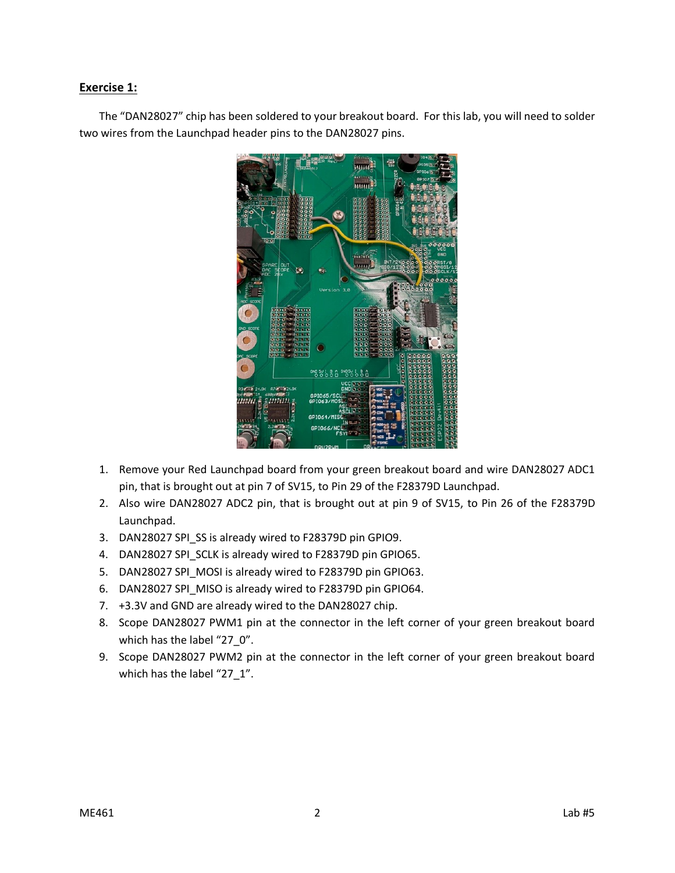## **Exercise 1:**

The "DAN28027" chip has been soldered to your breakout board. For this lab, you will need to solder two wires from the Launchpad header pins to the DAN28027 pins.



- 1. Remove your Red Launchpad board from your green breakout board and wire DAN28027 ADC1 pin, that is brought out at pin 7 of SV15, to Pin 29 of the F28379D Launchpad.
- 2. Also wire DAN28027 ADC2 pin, that is brought out at pin 9 of SV15, to Pin 26 of the F28379D Launchpad.
- 3. DAN28027 SPI\_SS is already wired to F28379D pin GPIO9.
- 4. DAN28027 SPI\_SCLK is already wired to F28379D pin GPIO65.
- 5. DAN28027 SPI\_MOSI is already wired to F28379D pin GPIO63.
- 6. DAN28027 SPI\_MISO is already wired to F28379D pin GPIO64.
- 7. +3.3V and GND are already wired to the DAN28027 chip.
- 8. Scope DAN28027 PWM1 pin at the connector in the left corner of your green breakout board which has the label "27\_0".
- 9. Scope DAN28027 PWM2 pin at the connector in the left corner of your green breakout board which has the label "27\_1".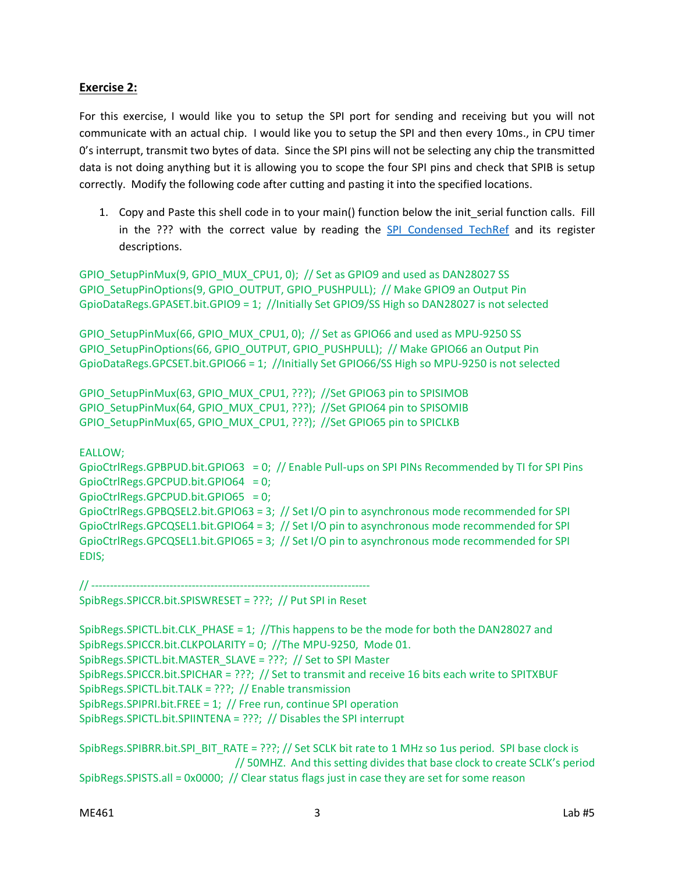## **Exercise 2:**

For this exercise, I would like you to setup the SPI port for sending and receiving but you will not communicate with an actual chip. I would like you to setup the SPI and then every 10ms., in CPU timer 0's interrupt, transmit two bytes of data. Since the SPI pins will not be selecting any chip the transmitted data is not doing anything but it is allowing you to scope the four SPI pins and check that SPIB is setup correctly. Modify the following code after cutting and pasting it into the specified locations.

1. Copy and Paste this shell code in to your main() function below the init\_serial function calls. Fill in the ??? with the correct value by reading the [SPI Condensed TechRef](http://coecsl.ece.illinois.edu/me461/Labs/SPICondensed_TechRef.pdf) and its register descriptions.

GPIO\_SetupPinMux(9, GPIO\_MUX\_CPU1, 0); // Set as GPIO9 and used as DAN28027 SS GPIO\_SetupPinOptions(9, GPIO\_OUTPUT, GPIO\_PUSHPULL); // Make GPIO9 an Output Pin GpioDataRegs.GPASET.bit.GPIO9 = 1; //Initially Set GPIO9/SS High so DAN28027 is not selected

GPIO SetupPinMux(66, GPIO MUX CPU1, 0); // Set as GPIO66 and used as MPU-9250 SS GPIO\_SetupPinOptions(66, GPIO\_OUTPUT, GPIO\_PUSHPULL); // Make GPIO66 an Output Pin GpioDataRegs.GPCSET.bit.GPIO66 = 1; //Initially Set GPIO66/SS High so MPU-9250 is not selected

GPIO\_SetupPinMux(63, GPIO\_MUX\_CPU1, ???); //Set GPIO63 pin to SPISIMOB GPIO\_SetupPinMux(64, GPIO\_MUX\_CPU1, ???); //Set GPIO64 pin to SPISOMIB GPIO\_SetupPinMux(65, GPIO\_MUX\_CPU1, ???); //Set GPIO65 pin to SPICLKB

EALLOW;

GpioCtrlRegs.GPBPUD.bit.GPIO63 = 0; // Enable Pull-ups on SPI PINs Recommended by TI for SPI Pins GpioCtrlRegs.GPCPUD.bit.GPIO64 = 0; GpioCtrlRegs.GPCPUD.bit.GPIO65 = 0; GpioCtrlRegs.GPBQSEL2.bit.GPIO63 = 3; // Set I/O pin to asynchronous mode recommended for SPI GpioCtrlRegs.GPCQSEL1.bit.GPIO64 = 3; // Set I/O pin to asynchronous mode recommended for SPI GpioCtrlRegs.GPCQSEL1.bit.GPIO65 = 3; // Set I/O pin to asynchronous mode recommended for SPI EDIS;

// --------------------------------------------------------------------------- SpibRegs.SPICCR.bit.SPISWRESET = ???; // Put SPI in Reset

SpibRegs.SPICTL.bit.CLK\_PHASE = 1; //This happens to be the mode for both the DAN28027 and SpibRegs.SPICCR.bit.CLKPOLARITY = 0; //The MPU-9250, Mode 01. SpibRegs.SPICTL.bit.MASTER\_SLAVE = ???; // Set to SPI Master SpibRegs.SPICCR.bit.SPICHAR = ???; // Set to transmit and receive 16 bits each write to SPITXBUF SpibRegs.SPICTL.bit.TALK = ???; // Enable transmission SpibRegs.SPIPRI.bit.FREE = 1; // Free run, continue SPI operation SpibRegs.SPICTL.bit.SPIINTENA = ???; // Disables the SPI interrupt

SpibRegs.SPIBRR.bit.SPI\_BIT\_RATE = ???; // Set SCLK bit rate to 1 MHz so 1us period. SPI base clock is // 50MHZ. And this setting divides that base clock to create SCLK's period SpibRegs.SPISTS.all = 0x0000; // Clear status flags just in case they are set for some reason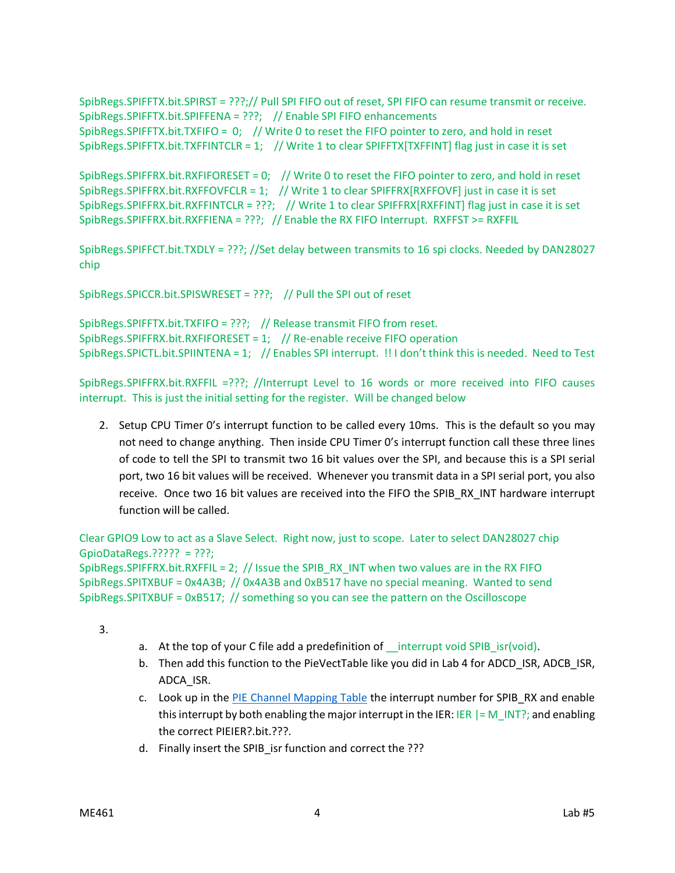SpibRegs.SPIFFTX.bit.SPIRST = ???;// Pull SPI FIFO out of reset, SPI FIFO can resume transmit or receive. SpibRegs.SPIFFTX.bit.SPIFFENA = ???; // Enable SPI FIFO enhancements SpibRegs.SPIFFTX.bit.TXFIFO = 0; // Write 0 to reset the FIFO pointer to zero, and hold in reset SpibRegs.SPIFFTX.bit.TXFFINTCLR = 1; // Write 1 to clear SPIFFTX[TXFFINT] flag just in case it is set

SpibRegs.SPIFFRX.bit.RXFIFORESET = 0; // Write 0 to reset the FIFO pointer to zero, and hold in reset SpibRegs.SPIFFRX.bit.RXFFOVFCLR = 1; // Write 1 to clear SPIFFRX[RXFFOVF] just in case it is set SpibRegs.SPIFFRX.bit.RXFFINTCLR = ???; // Write 1 to clear SPIFFRX[RXFFINT] flag just in case it is set SpibRegs.SPIFFRX.bit.RXFFIENA = ???; // Enable the RX FIFO Interrupt. RXFFST >= RXFFIL

SpibRegs.SPIFFCT.bit.TXDLY = ???; //Set delay between transmits to 16 spi clocks. Needed by DAN28027 chip

SpibRegs.SPICCR.bit.SPISWRESET = ???; // Pull the SPI out of reset

SpibRegs.SPIFFTX.bit.TXFIFO = ???; // Release transmit FIFO from reset. SpibRegs.SPIFFRX.bit.RXFIFORESET = 1; // Re-enable receive FIFO operation SpibRegs.SPICTL.bit.SPIINTENA = 1; // Enables SPI interrupt. !! I don't think this is needed. Need to Test

SpibRegs.SPIFFRX.bit.RXFFIL =???; //Interrupt Level to 16 words or more received into FIFO causes interrupt. This is just the initial setting for the register. Will be changed below

2. Setup CPU Timer 0's interrupt function to be called every 10ms. This is the default so you may not need to change anything. Then inside CPU Timer 0's interrupt function call these three lines of code to tell the SPI to transmit two 16 bit values over the SPI, and because this is a SPI serial port, two 16 bit values will be received. Whenever you transmit data in a SPI serial port, you also receive. Once two 16 bit values are received into the FIFO the SPIB\_RX\_INT hardware interrupt function will be called.

Clear GPIO9 Low to act as a Slave Select. Right now, just to scope. Later to select DAN28027 chip GpioDataRegs.????? = ???; SpibRegs.SPIFFRX.bit.RXFFIL = 2; // Issue the SPIB\_RX\_INT when two values are in the RX FIFO SpibRegs.SPITXBUF = 0x4A3B; // 0x4A3B and 0xB517 have no special meaning. Wanted to send SpibRegs.SPITXBUF = 0xB517; // something so you can see the pattern on the Oscilloscope

3.

- a. At the top of your C file add a predefinition of *\_\_interrupt void SPIB\_isr(void)*.
- b. Then add this function to the PieVectTable like you did in Lab 4 for ADCD ISR, ADCB ISR, ADCA\_ISR.
- c. Look up in the [PIE Channel Mapping Table](http://coecsl.ece.illinois.edu/me461/Labs/PeripheralInterruptChannelMapTable.pdf) the interrupt number for SPIB\_RX and enable this interrupt by both enabling the major interrupt in the IER: IER  $|=$  M\_INT?; and enabling the correct PIEIER?.bit.???.
- d. Finally insert the SPIB\_isr function and correct the ???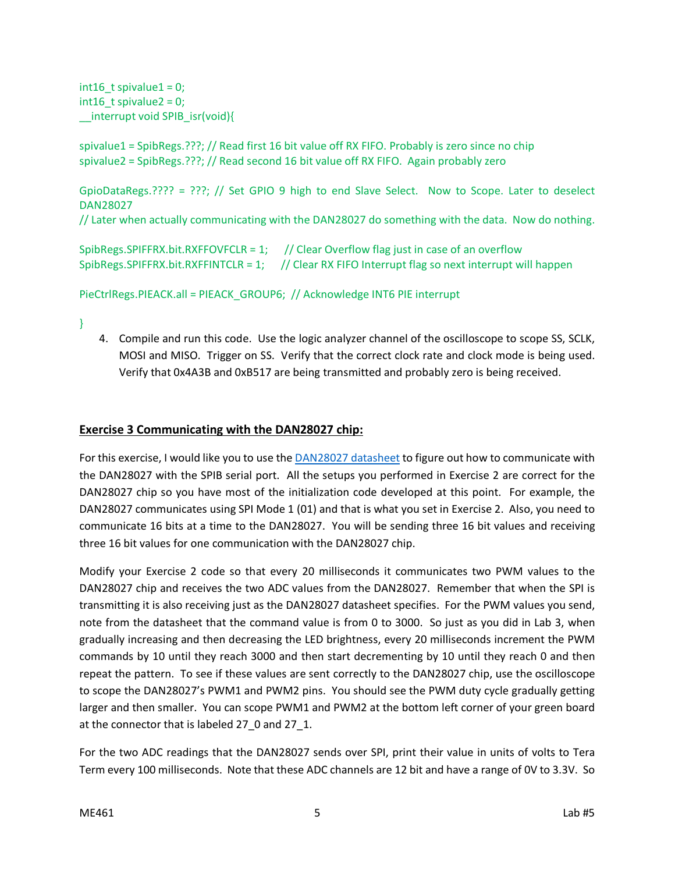$int16$  t spivalue1 = 0;  $int16_t$  spivalue2 = 0; \_\_interrupt void SPIB\_isr(void){

spivalue1 = SpibRegs.???; // Read first 16 bit value off RX FIFO. Probably is zero since no chip spivalue2 = SpibRegs.???; // Read second 16 bit value off RX FIFO. Again probably zero

GpioDataRegs.???? = ???; // Set GPIO 9 high to end Slave Select. Now to Scope. Later to deselect DAN28027

// Later when actually communicating with the DAN28027 do something with the data. Now do nothing.

SpibRegs.SPIFFRX.bit.RXFFOVFCLR = 1; // Clear Overflow flag just in case of an overflow SpibRegs.SPIFFRX.bit.RXFFINTCLR = 1;  $\frac{1}{2}$  // Clear RX FIFO Interrupt flag so next interrupt will happen

PieCtrlRegs.PIEACK.all = PIEACK\_GROUP6; // Acknowledge INT6 PIE interrupt

- }
- 4. Compile and run this code. Use the logic analyzer channel of the oscilloscope to scope SS, SCLK, MOSI and MISO. Trigger on SS. Verify that the correct clock rate and clock mode is being used. Verify that 0x4A3B and 0xB517 are being transmitted and probably zero is being received.

#### **Exercise 3 Communicating with the DAN28027 chip:**

For this exercise, I would like you to use the **DAN28027** datasheet to figure out how to communicate with the DAN28027 with the SPIB serial port. All the setups you performed in Exercise 2 are correct for the DAN28027 chip so you have most of the initialization code developed at this point. For example, the DAN28027 communicates using SPI Mode 1 (01) and that is what you set in Exercise 2. Also, you need to communicate 16 bits at a time to the DAN28027. You will be sending three 16 bit values and receiving three 16 bit values for one communication with the DAN28027 chip.

Modify your Exercise 2 code so that every 20 milliseconds it communicates two PWM values to the DAN28027 chip and receives the two ADC values from the DAN28027. Remember that when the SPI is transmitting it is also receiving just as the DAN28027 datasheet specifies. For the PWM values you send, note from the datasheet that the command value is from 0 to 3000. So just as you did in Lab 3, when gradually increasing and then decreasing the LED brightness, every 20 milliseconds increment the PWM commands by 10 until they reach 3000 and then start decrementing by 10 until they reach 0 and then repeat the pattern. To see if these values are sent correctly to the DAN28027 chip, use the oscilloscope to scope the DAN28027's PWM1 and PWM2 pins. You should see the PWM duty cycle gradually getting larger and then smaller. You can scope PWM1 and PWM2 at the bottom left corner of your green board at the connector that is labeled 27 0 and 27 1.

For the two ADC readings that the DAN28027 sends over SPI, print their value in units of volts to Tera Term every 100 milliseconds. Note that these ADC channels are 12 bit and have a range of 0V to 3.3V. So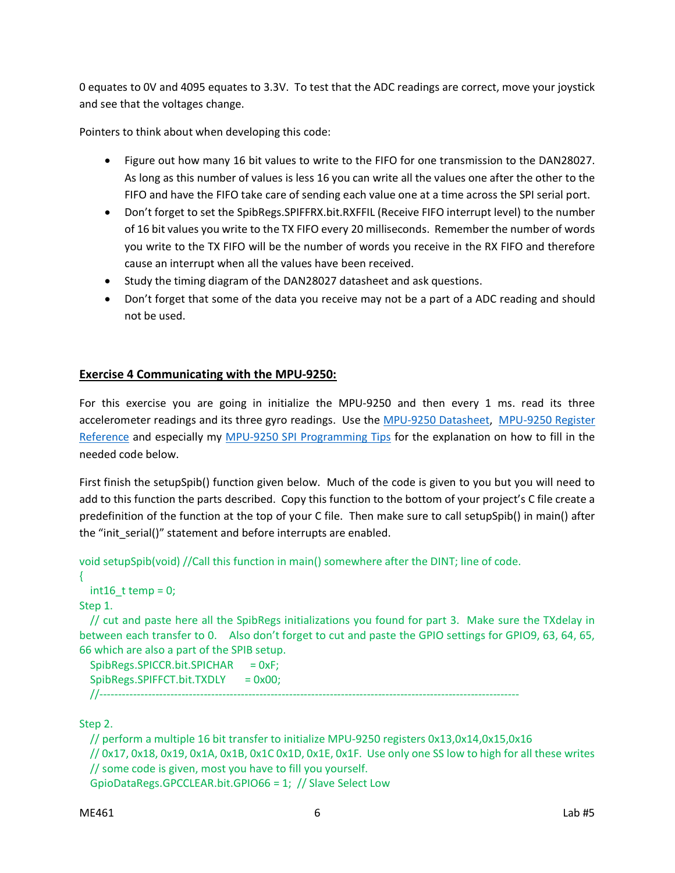0 equates to 0V and 4095 equates to 3.3V. To test that the ADC readings are correct, move your joystick and see that the voltages change.

Pointers to think about when developing this code:

- Figure out how many 16 bit values to write to the FIFO for one transmission to the DAN28027. As long as this number of values is less 16 you can write all the values one after the other to the FIFO and have the FIFO take care of sending each value one at a time across the SPI serial port.
- Don't forget to set the SpibRegs.SPIFFRX.bit.RXFFIL (Receive FIFO interrupt level) to the number of 16 bit values you write to the TX FIFO every 20 milliseconds. Remember the number of words you write to the TX FIFO will be the number of words you receive in the RX FIFO and therefore cause an interrupt when all the values have been received.
- Study the timing diagram of the DAN28027 datasheet and ask questions.
- Don't forget that some of the data you receive may not be a part of a ADC reading and should not be used.

## **Exercise 4 Communicating with the MPU-9250:**

For this exercise you are going in initialize the MPU-9250 and then every 1 ms. read its three accelerometer readings and its three gyro readings. Use the [MPU-9250 Datasheet,](http://coecsl.ece.illinois.edu/me461/Labs/PS-MPU-9250A-01-v1.1.pdf) [MPU-9250 Register](http://coecsl.ece.illinois.edu/se423/Labs/MPU-9250-Register-Map.pdf)  [Reference](http://coecsl.ece.illinois.edu/se423/Labs/MPU-9250-Register-Map.pdf) and especially my [MPU-9250 SPI Programming Tips](http://coecsl.ece.illinois.edu/me461/Labs/MPU-9250-Addendum.pdf) for the explanation on how to fill in the needed code below.

First finish the setupSpib() function given below. Much of the code is given to you but you will need to add to this function the parts described. Copy this function to the bottom of your project's C file create a predefinition of the function at the top of your C file. Then make sure to call setupSpib() in main() after the "init\_serial()" statement and before interrupts are enabled.

void setupSpib(void) //Call this function in main() somewhere after the DINT; line of code.

{

 $int16$  temp = 0;

Step 1.

 // cut and paste here all the SpibRegs initializations you found for part 3. Make sure the TXdelay in between each transfer to 0. Also don't forget to cut and paste the GPIO settings for GPIO9, 63, 64, 65, 66 which are also a part of the SPIB setup.

```
SpibRegs.SPICCR.bit.SPICHAR = 0xF;
SpibRegs.SPIFFCT.bit.TXDLY = 0x00;
 //-----------------------------------------------------------------------------------------------------------------
```
Step 2.

// perform a multiple 16 bit transfer to initialize MPU-9250 registers 0x13,0x14,0x15,0x16

 // 0x17, 0x18, 0x19, 0x1A, 0x1B, 0x1C 0x1D, 0x1E, 0x1F. Use only one SS low to high for all these writes // some code is given, most you have to fill you yourself.

GpioDataRegs.GPCCLEAR.bit.GPIO66 = 1; // Slave Select Low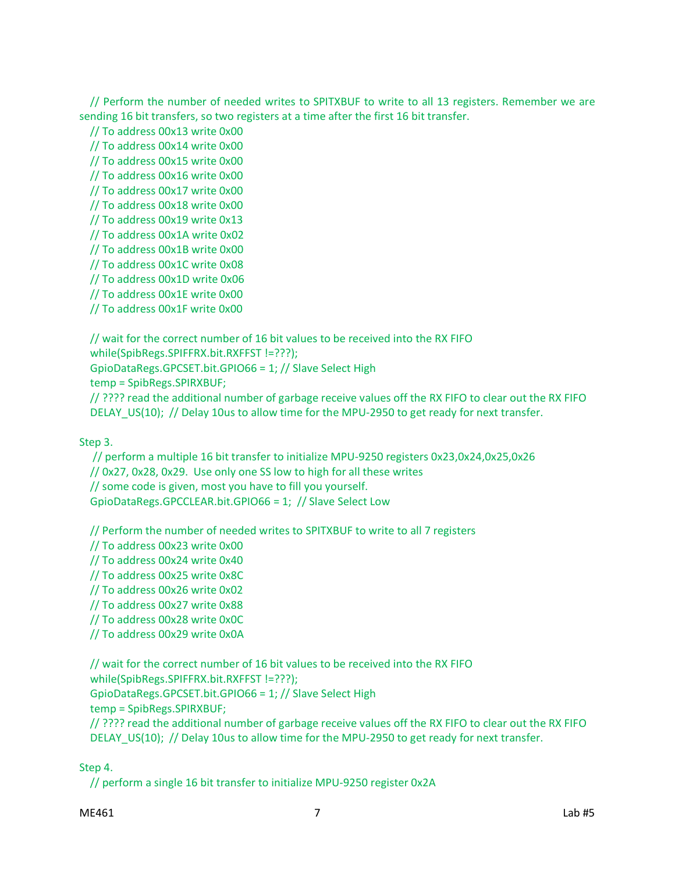// Perform the number of needed writes to SPITXBUF to write to all 13 registers. Remember we are sending 16 bit transfers, so two registers at a time after the first 16 bit transfer.

// To address 00x13 write 0x00

// To address 00x14 write 0x00

// To address 00x15 write 0x00

// To address 00x16 write 0x00

// To address 00x17 write 0x00

// To address 00x18 write 0x00

// To address 00x19 write 0x13

// To address 00x1A write 0x02

// To address 00x1B write 0x00

// To address 00x1C write 0x08

// To address 00x1D write 0x06

// To address 00x1E write 0x00

// To address 00x1F write 0x00

// wait for the correct number of 16 bit values to be received into the RX FIFO

while(SpibRegs.SPIFFRX.bit.RXFFST !=???);

GpioDataRegs.GPCSET.bit.GPIO66 = 1; // Slave Select High

temp = SpibRegs.SPIRXBUF;

 // ???? read the additional number of garbage receive values off the RX FIFO to clear out the RX FIFO DELAY\_US(10); // Delay 10us to allow time for the MPU-2950 to get ready for next transfer.

Step 3.

 // perform a multiple 16 bit transfer to initialize MPU-9250 registers 0x23,0x24,0x25,0x26 // 0x27, 0x28, 0x29. Use only one SS low to high for all these writes // some code is given, most you have to fill you yourself. GpioDataRegs.GPCCLEAR.bit.GPIO66 = 1; // Slave Select Low

// Perform the number of needed writes to SPITXBUF to write to all 7 registers

// To address 00x23 write 0x00

// To address 00x24 write 0x40

// To address 00x25 write 0x8C

// To address 00x26 write 0x02

// To address 00x27 write 0x88

// To address 00x28 write 0x0C

// To address 00x29 write 0x0A

// wait for the correct number of 16 bit values to be received into the RX FIFO

while(SpibRegs.SPIFFRX.bit.RXFFST !=???);

GpioDataRegs.GPCSET.bit.GPIO66 = 1; // Slave Select High

temp = SpibRegs.SPIRXBUF;

 // ???? read the additional number of garbage receive values off the RX FIFO to clear out the RX FIFO DELAY US(10); // Delay 10us to allow time for the MPU-2950 to get ready for next transfer.

Step 4.

// perform a single 16 bit transfer to initialize MPU-9250 register 0x2A

ME461 **1** Lab #5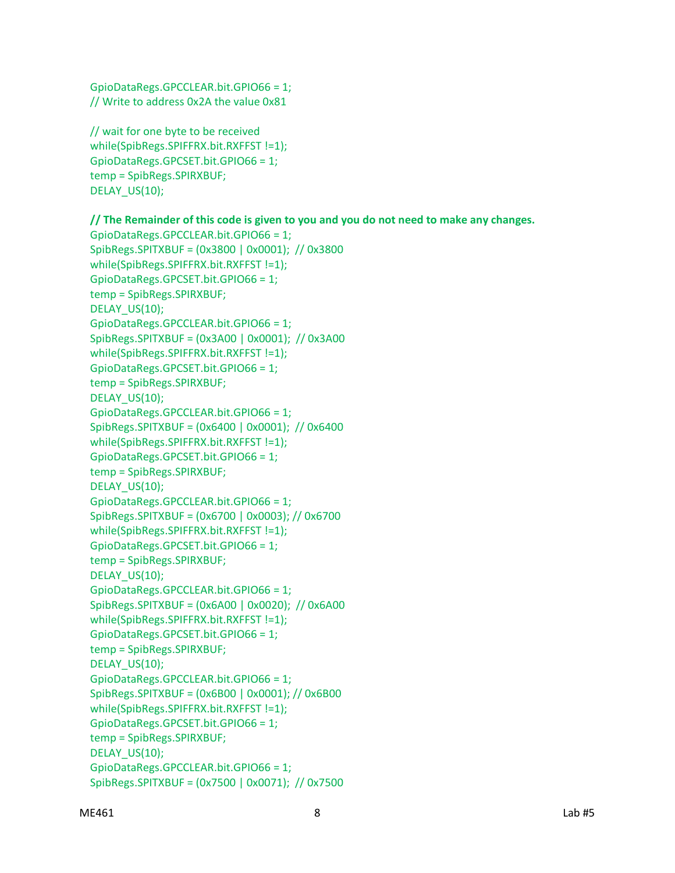GpioDataRegs.GPCCLEAR.bit.GPIO66 = 1; // Write to address 0x2A the value 0x81

 // wait for one byte to be received while(SpibRegs.SPIFFRX.bit.RXFFST !=1); GpioDataRegs.GPCSET.bit.GPIO66 = 1; temp = SpibRegs.SPIRXBUF; DELAY\_US(10);

#### **// The Remainder of this code is given to you and you do not need to make any changes.**

```
 GpioDataRegs.GPCCLEAR.bit.GPIO66 = 1;
 SpibRegs.SPITXBUF = (0x3800 | 0x0001); // 0x3800
 while(SpibRegs.SPIFFRX.bit.RXFFST !=1);
 GpioDataRegs.GPCSET.bit.GPIO66 = 1;
 temp = SpibRegs.SPIRXBUF;
DELAY_US(10);
 GpioDataRegs.GPCCLEAR.bit.GPIO66 = 1;
 SpibRegs.SPITXBUF = (0x3A00 | 0x0001); // 0x3A00
 while(SpibRegs.SPIFFRX.bit.RXFFST !=1);
 GpioDataRegs.GPCSET.bit.GPIO66 = 1;
 temp = SpibRegs.SPIRXBUF;
DELAY US(10);
 GpioDataRegs.GPCCLEAR.bit.GPIO66 = 1;
 SpibRegs.SPITXBUF = (0x6400 | 0x0001); // 0x6400
 while(SpibRegs.SPIFFRX.bit.RXFFST !=1);
 GpioDataRegs.GPCSET.bit.GPIO66 = 1;
 temp = SpibRegs.SPIRXBUF;
DELAY_US(10);
 GpioDataRegs.GPCCLEAR.bit.GPIO66 = 1;
 SpibRegs.SPITXBUF = (0x6700 | 0x0003); // 0x6700
 while(SpibRegs.SPIFFRX.bit.RXFFST !=1);
 GpioDataRegs.GPCSET.bit.GPIO66 = 1;
 temp = SpibRegs.SPIRXBUF;
DELAY US(10);
 GpioDataRegs.GPCCLEAR.bit.GPIO66 = 1;
 SpibRegs.SPITXBUF = (0x6A00 | 0x0020); // 0x6A00
 while(SpibRegs.SPIFFRX.bit.RXFFST !=1);
 GpioDataRegs.GPCSET.bit.GPIO66 = 1;
 temp = SpibRegs.SPIRXBUF;
DELAY US(10);
 GpioDataRegs.GPCCLEAR.bit.GPIO66 = 1;
 SpibRegs.SPITXBUF = (0x6B00 | 0x0001); // 0x6B00
 while(SpibRegs.SPIFFRX.bit.RXFFST !=1);
 GpioDataRegs.GPCSET.bit.GPIO66 = 1;
 temp = SpibRegs.SPIRXBUF;
DELAY US(10);
 GpioDataRegs.GPCCLEAR.bit.GPIO66 = 1;
 SpibRegs.SPITXBUF = (0x7500 | 0x0071); // 0x7500
```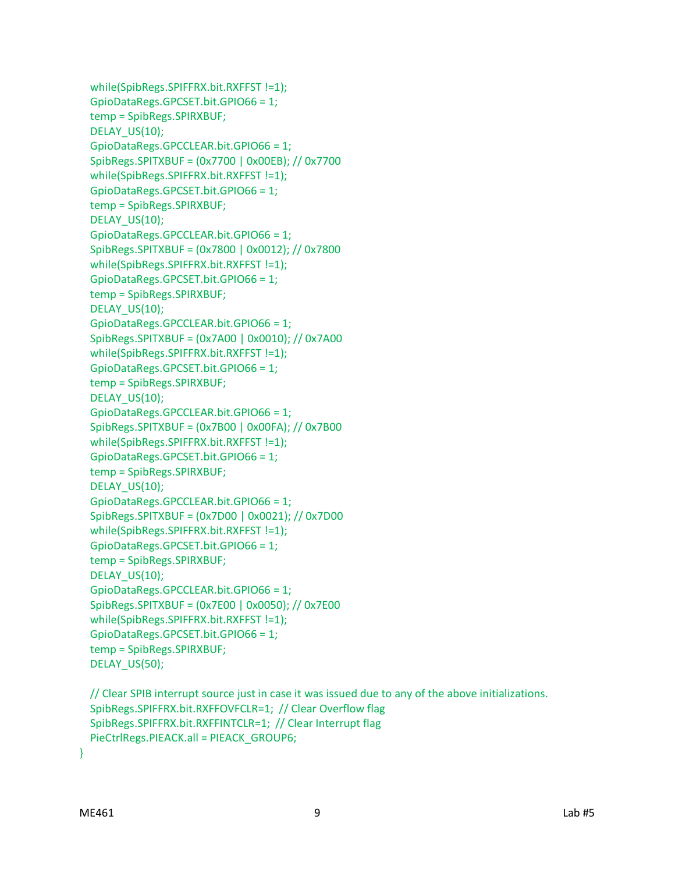```
 while(SpibRegs.SPIFFRX.bit.RXFFST !=1);
 GpioDataRegs.GPCSET.bit.GPIO66 = 1;
 temp = SpibRegs.SPIRXBUF;
DELAY US(10);
 GpioDataRegs.GPCCLEAR.bit.GPIO66 = 1;
 SpibRegs.SPITXBUF = (0x7700 | 0x00EB); // 0x7700
 while(SpibRegs.SPIFFRX.bit.RXFFST !=1);
 GpioDataRegs.GPCSET.bit.GPIO66 = 1;
 temp = SpibRegs.SPIRXBUF;
DELAY_US(10);
 GpioDataRegs.GPCCLEAR.bit.GPIO66 = 1;
 SpibRegs.SPITXBUF = (0x7800 | 0x0012); // 0x7800
 while(SpibRegs.SPIFFRX.bit.RXFFST !=1);
 GpioDataRegs.GPCSET.bit.GPIO66 = 1;
 temp = SpibRegs.SPIRXBUF;
DELAY_US(10);
 GpioDataRegs.GPCCLEAR.bit.GPIO66 = 1;
 SpibRegs.SPITXBUF = (0x7A00 | 0x0010); // 0x7A00
 while(SpibRegs.SPIFFRX.bit.RXFFST !=1);
 GpioDataRegs.GPCSET.bit.GPIO66 = 1;
 temp = SpibRegs.SPIRXBUF;
DELAY US(10);
 GpioDataRegs.GPCCLEAR.bit.GPIO66 = 1;
 SpibRegs.SPITXBUF = (0x7B00 | 0x00FA); // 0x7B00
 while(SpibRegs.SPIFFRX.bit.RXFFST !=1);
 GpioDataRegs.GPCSET.bit.GPIO66 = 1;
 temp = SpibRegs.SPIRXBUF;
DELAY US(10);
 GpioDataRegs.GPCCLEAR.bit.GPIO66 = 1;
 SpibRegs.SPITXBUF = (0x7D00 | 0x0021); // 0x7D00
 while(SpibRegs.SPIFFRX.bit.RXFFST !=1);
 GpioDataRegs.GPCSET.bit.GPIO66 = 1;
 temp = SpibRegs.SPIRXBUF;
DELAY US(10);
 GpioDataRegs.GPCCLEAR.bit.GPIO66 = 1;
 SpibRegs.SPITXBUF = (0x7E00 | 0x0050); // 0x7E00
 while(SpibRegs.SPIFFRX.bit.RXFFST !=1);
 GpioDataRegs.GPCSET.bit.GPIO66 = 1;
 temp = SpibRegs.SPIRXBUF;
 DELAY_US(50);
```

```
 // Clear SPIB interrupt source just in case it was issued due to any of the above initializations. 
 SpibRegs.SPIFFRX.bit.RXFFOVFCLR=1; // Clear Overflow flag
 SpibRegs.SPIFFRX.bit.RXFFINTCLR=1; // Clear Interrupt flag
 PieCtrlRegs.PIEACK.all = PIEACK_GROUP6;
```
}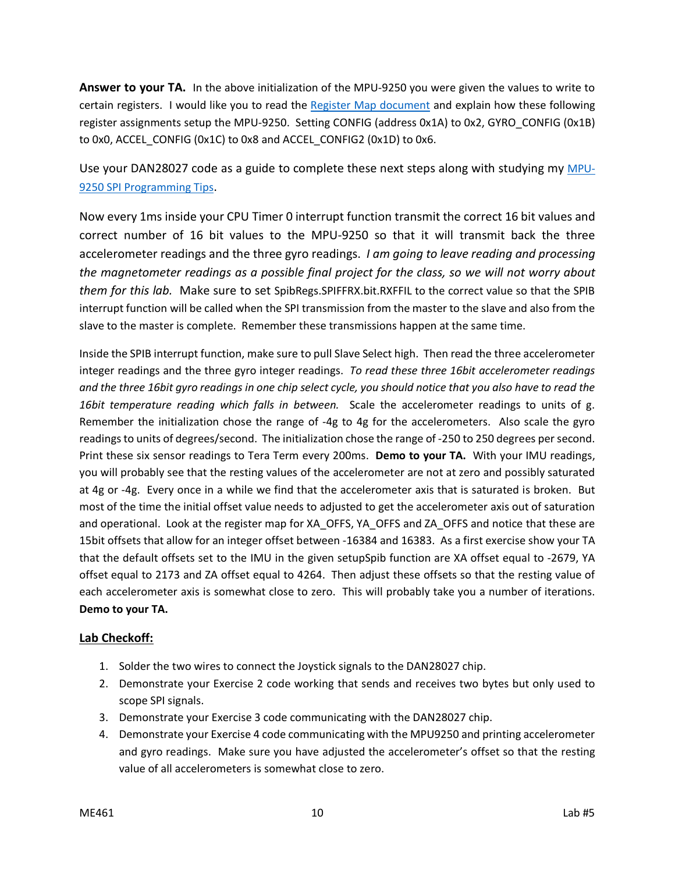**Answer to your TA.** In the above initialization of the MPU-9250 you were given the values to write to certain registers. I would like you to read the [Register Map document](http://coecsl.ece.illinois.edu/me461/Labs/MPU-9250-Register-Map.pdf) and explain how these following register assignments setup the MPU-9250. Setting CONFIG (address 0x1A) to 0x2, GYRO\_CONFIG (0x1B) to 0x0, ACCEL\_CONFIG (0x1C) to 0x8 and ACCEL\_CONFIG2 (0x1D) to 0x6.

Use your DAN28027 code as a guide to complete these next steps along with studying my [MPU-](http://coecsl.ece.illinois.edu/me461/Labs/MPU-9250-Addendum.pdf)[9250 SPI Programming Tips.](http://coecsl.ece.illinois.edu/me461/Labs/MPU-9250-Addendum.pdf)

Now every 1ms inside your CPU Timer 0 interrupt function transmit the correct 16 bit values and correct number of 16 bit values to the MPU-9250 so that it will transmit back the three accelerometer readings and the three gyro readings. *I am going to leave reading and processing the magnetometer readings as a possible final project for the class, so we will not worry about them for this lab.* Make sure to set SpibRegs.SPIFFRX.bit.RXFFIL to the correct value so that the SPIB interrupt function will be called when the SPI transmission from the master to the slave and also from the slave to the master is complete. Remember these transmissions happen at the same time.

Inside the SPIB interrupt function, make sure to pull Slave Select high. Then read the three accelerometer integer readings and the three gyro integer readings. *To read these three 16bit accelerometer readings and the three 16bit gyro readings in one chip select cycle, you should notice that you also have to read the 16bit temperature reading which falls in between.* Scale the accelerometer readings to units of g. Remember the initialization chose the range of -4g to 4g for the accelerometers. Also scale the gyro readings to units of degrees/second. The initialization chose the range of -250 to 250 degrees per second. Print these six sensor readings to Tera Term every 200ms. **Demo to your TA.** With your IMU readings, you will probably see that the resting values of the accelerometer are not at zero and possibly saturated at 4g or -4g. Every once in a while we find that the accelerometer axis that is saturated is broken. But most of the time the initial offset value needs to adjusted to get the accelerometer axis out of saturation and operational. Look at the register map for XA\_OFFS, YA\_OFFS and ZA\_OFFS and notice that these are 15bit offsets that allow for an integer offset between -16384 and 16383. As a first exercise show your TA that the default offsets set to the IMU in the given setupSpib function are XA offset equal to -2679, YA offset equal to 2173 and ZA offset equal to 4264. Then adjust these offsets so that the resting value of each accelerometer axis is somewhat close to zero. This will probably take you a number of iterations. **Demo to your TA.**

### **Lab Checkoff:**

- 1. Solder the two wires to connect the Joystick signals to the DAN28027 chip.
- 2. Demonstrate your Exercise 2 code working that sends and receives two bytes but only used to scope SPI signals.
- 3. Demonstrate your Exercise 3 code communicating with the DAN28027 chip.
- 4. Demonstrate your Exercise 4 code communicating with the MPU9250 and printing accelerometer and gyro readings. Make sure you have adjusted the accelerometer's offset so that the resting value of all accelerometers is somewhat close to zero.